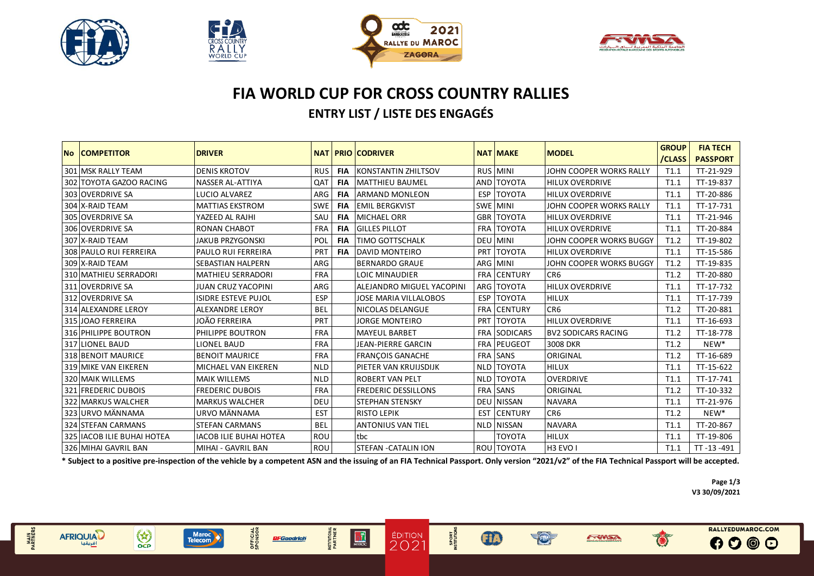

MAIN<br>PARTNERS

**AFRIQUIAD** 

 $\begin{pmatrix} x \\ y \\ z \end{pmatrix}$ 



**OFFICIAL**<br>SPONSOR

**BFGoodrich** 

Maroc

**INSTITUTIONAL**<br>PARTNER

 $\frac{1}{\sqrt{1}}$ 





## **FIA WORLD CUP FOR CROSS COUNTRY RALLIES ENTRY LIST / LISTE DES ENGAGÉS**

| No COMPETITOR              | <b>DRIVER</b>                 | <b>NAT</b> |            |                                  |            | <b>NAT MAKE</b>     | <b>MODEL</b>               | <b>GROUP</b> | <b>FIA TECH</b>  |
|----------------------------|-------------------------------|------------|------------|----------------------------------|------------|---------------------|----------------------------|--------------|------------------|
|                            |                               |            |            | <b>PRIO CODRIVER</b>             |            |                     |                            | /CLASS       | <b>PASSPORT</b>  |
| 301 MSK RALLY TEAM         | <b>DENIS KROTOV</b>           | <b>RUS</b> | <b>FIA</b> | <b>KONSTANTIN ZHILTSOV</b>       |            | RUS MINI            | JOHN COOPER WORKS RALLY    | T1.1         | TT-21-929        |
| 302 TOYOTA GAZOO RACING    | <b>NASSER AL-ATTIYA</b>       | QAT        | <b>FIA</b> | <b>MATTHIEU BAUMEL</b>           |            | AND TOYOTA          | <b>HILUX OVERDRIVE</b>     | T1.1         | TT-19-837        |
| 303 OVERDRIVE SA           | LUCIO ALVAREZ                 | ARG        | <b>FIA</b> | <b>ARMAND MONLEON</b>            | <b>ESP</b> | <b>TOYOTA</b>       | <b>HILUX OVERDRIVE</b>     | T1.1         | TT-20-886        |
| 304 X-RAID TEAM            | <b>MATTIAS EKSTROM</b>        | <b>SWE</b> | <b>FIA</b> | <b>EMIL BERGKVIST</b>            |            | <b>SWE MINI</b>     | JOHN COOPER WORKS RALLY    | T1.1         | TT-17-731        |
| 305 IOVERDRIVE SA          | YAZEED AL RAJHI               | SAU        | <b>FIA</b> | <b>MICHAEL ORR</b>               |            | <b>GBR TOYOTA</b>   | <b>HILUX OVERDRIVE</b>     | T1.1         | TT-21-946        |
| 306 OVERDRIVE SA           | <b>RONAN CHABOT</b>           | <b>FRA</b> | <b>FIA</b> | <b>GILLES PILLOT</b>             |            | <b>FRA TOYOTA</b>   | <b>HILUX OVERDRIVE</b>     | T1.1         | TT-20-884        |
| 307 X-RAID TEAM            | <b>JAKUB PRZYGONSKI</b>       | POL        | <b>FIA</b> | TIMO GOTTSCHALK                  | <b>DEU</b> | <b>MINI</b>         | JOHN COOPER WORKS BUGGY    | T1.2         | TT-19-802        |
| 308 PAULO RUI FERREIRA     | <b>PAULO RUI FERREIRA</b>     | PRT        | <b>FIA</b> | DAVID MONTEIRO                   |            | PRT TOYOTA          | <b>HILUX OVERDRIVE</b>     | T1.1         | TT-15-586        |
| 309 X-RAID TEAM            | <b>SEBASTIAN HALPERN</b>      | ARG        |            | <b>BERNARDO GRAUE</b>            |            | ARG MINI            | JOHN COOPER WORKS BUGGY    | T1.2         | TT-19-835        |
| 310 MATHIEU SERRADORI      | <b>MATHIEU SERRADORI</b>      | <b>FRA</b> |            | LOIC MINAUDIER                   |            | <b>FRA CENTURY</b>  | CR <sub>6</sub>            | T1.2         | TT-20-880        |
| 311 OVERDRIVE SA           | JUAN CRUZ YACOPINI            | ARG        |            | <b>ALEJANDRO MIGUEL YACOPINI</b> |            | ARG TOYOTA          | <b>HILUX OVERDRIVE</b>     | T1.1         | TT-17-732        |
| 312 OVERDRIVE SA           | <b>ISIDRE ESTEVE PUJOL</b>    | <b>ESP</b> |            | <b>JOSE MARIA VILLALOBOS</b>     |            | ESP   TOYOTA        | <b>HILUX</b>               | T1.1         | TT-17-739        |
| 314 ALEXANDRE LEROY        | ALEXANDRE LEROY               | <b>BEL</b> |            | NICOLAS DELANGUE                 | FRA        | <b>CENTURY</b>      | CR <sub>6</sub>            | T1.2         | TT-20-881        |
| 315 JOAO FERREIRA          | JOÃO FERREIRA                 | PRT        |            | <b>JORGE MONTEIRO</b>            |            | PRT TOYOTA          | <b>HILUX OVERDRIVE</b>     | T1.1         | TT-16-693        |
| 316 PHILIPPE BOUTRON       | PHILIPPE BOUTRON              | <b>FRA</b> |            | <b>MAYEUL BARBET</b>             |            | <b>FRA SODICARS</b> | <b>BV2 SODICARS RACING</b> | T1.2         | TT-18-778        |
| 317 LIONEL BAUD            | LIONEL BAUD                   | <b>FRA</b> |            | JEAN-PIERRE GARCIN               |            | FRA PEUGEOT         | 3008 DKR                   | T1.2         | NEW <sup>*</sup> |
| 318 BENOIT MAURICE         | <b>BENOIT MAURICE</b>         | <b>FRA</b> |            | <b>FRANÇOIS GANACHE</b>          |            | <b>FRA SANS</b>     | ORIGINAL                   | T1.2         | TT-16-689        |
| 319 MIKE VAN EIKEREN       | MICHAEL VAN EIKEREN           | <b>NLD</b> |            | PIETER VAN KRUIJSDIJK            |            | NLD TOYOTA          | <b>HILUX</b>               | T1.1         | TT-15-622        |
| 320 MAIK WILLEMS           | <b>MAIK WILLEMS</b>           | <b>NLD</b> |            | <b>ROBERT VAN PELT</b>           |            | <b>NLD TOYOTA</b>   | <b>OVERDRIVE</b>           | T1.1         | TT-17-741        |
| <b>321 FREDERIC DUBOIS</b> | <b>FREDERIC DUBOIS</b>        | <b>FRA</b> |            | <b>FREDERIC DESSILLONS</b>       |            | <b>FRA SANS</b>     | ORIGINAL                   | T1.2         | TT-10-332        |
| 322   MARKUS WALCHER       | <b>MARKUS WALCHER</b>         | DEU        |            | <b>STEPHAN STENSKY</b>           | DEU        | <b>NISSAN</b>       | <b>NAVARA</b>              | T1.1         | TT-21-976        |
| 323 JURVO MÄNNAMA          | URVO MÄNNAMA                  | <b>EST</b> |            | <b>RISTO LEPIK</b>               | <b>EST</b> | <b>CENTURY</b>      | CR <sub>6</sub>            | T1.2         | NEW <sup>*</sup> |
| 324 STEFAN CARMANS         | <b>STEFAN CARMANS</b>         | <b>BEL</b> |            | <b>ANTONIUS VAN TIEL</b>         | <b>NLD</b> | <b>NISSAN</b>       | <b>NAVARA</b>              | T1.1         | TT-20-867        |
| 325 IACOB ILIE BUHAI HOTEA | <b>IACOB ILIE BUHAI HOTEA</b> | ROU        |            | tbc                              |            | <b>TOYOTA</b>       | <b>HILUX</b>               | T1.1         | TT-19-806        |
| 326 MIHAI GAVRIL BAN       | MIHAI - GAVRIL BAN            | ROU        |            | <b>STEFAN - CATALIN ION</b>      |            | ROU TOYOTA          | H3 EVO I                   | T1.1         | TT-13-491        |

**\* Subject to a positive pre-inspection of the vehicle by a competent ASN and the issuing of an FIA Technical Passport. Only version "2021/v2" of the FIA Technical Passport will be accepted.**

 $\frac{20}{100}$ 

SPORT<br>NSTITUTIONS

 $\bigoplus$ 

**O** 

**EVENIST** 

**Page 1/3 V3 30/09/2021**

 $\bullet$ 

RALLYEDUMAROC.COM

 $0000$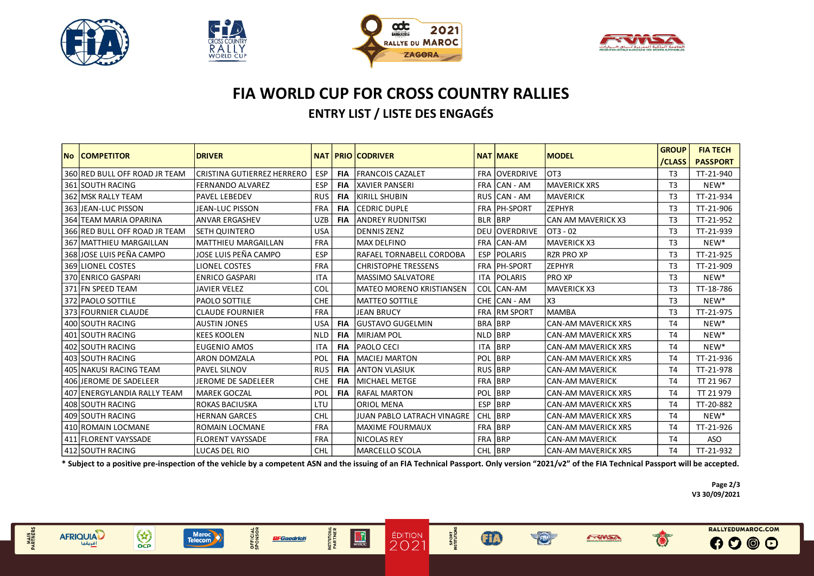

MAIN<br>PARTNERS

**AFRIQUIAD** 

 $\begin{pmatrix} x \\ y \\ z \end{pmatrix}$ 



OFFICIAL<br>SPONSOR

**BFGoodrich** 

Maroc<br>Telecom

**NSTITUTIONAL**<br>PARTNER

 $\frac{1}{\sqrt{1}}$ 





## **FIA WORLD CUP FOR CROSS COUNTRY RALLIES ENTRY LIST / LISTE DES ENGAGÉS**

| <b>No COMPETITOR</b>          | <b>DRIVER</b>              | <b>NAT</b> |            | <b>PRIO CODRIVER</b>            |                | <b>NAT MAKE</b>     | <b>MODEL</b>               | <b>GROUP</b><br>/CLASS | <b>FIA TECH</b><br><b>PASSPORT</b> |
|-------------------------------|----------------------------|------------|------------|---------------------------------|----------------|---------------------|----------------------------|------------------------|------------------------------------|
| 360 RED BULL OFF ROAD JR TEAM | CRISTINA GUTIERREZ HERRERO | ESP        | <b>FIA</b> | <b>FRANCOIS CAZALET</b>         |                | FRA OVERDRIVE       | OT <sub>3</sub>            | T <sub>3</sub>         | TT-21-940                          |
| 361 SOUTH RACING              | <b>FERNANDO ALVAREZ</b>    | ESP        | <b>FIA</b> | <b>XAVIER PANSERI</b>           |                | FRA CAN - AM        | <b>MAVERICK XRS</b>        | T <sub>3</sub>         | NEW*                               |
| 362 MSK RALLY TEAM            | <b>PAVEL LEBEDEV</b>       | <b>RUS</b> | <b>FIA</b> | KIRILL SHUBIN                   |                | RUS CAN - AM        | <b>MAVERICK</b>            | T <sub>3</sub>         | TT-21-934                          |
| 363 JEAN-LUC PISSON           | JEAN-LUC PISSON            | <b>FRA</b> | <b>FIA</b> | <b>CEDRIC DUPLE</b>             |                | FRA PH-SPORT        | <b>ZEPHYR</b>              | T <sub>3</sub>         | TT-21-906                          |
| 364 TEAM MARIA OPARINA        | <b>ANVAR ERGASHEV</b>      | <b>UZB</b> | <b>FIA</b> | <b>ANDREY RUDNITSKI</b>         | <b>BLR BRP</b> |                     | <b>CAN AM MAVERICK X3</b>  | T <sub>3</sub>         | TT-21-952                          |
| 366 RED BULL OFF ROAD JR TEAM | <b>SETH QUINTERO</b>       | <b>USA</b> |            | <b>DENNIS ZENZ</b>              | DEU            | <b>OVERDRIVE</b>    | OT3 - 02                   | T <sub>3</sub>         | TT-21-939                          |
| 367 MATTHIEU MARGAILLAN       | <b>MATTHIEU MARGAILLAN</b> | <b>FRA</b> |            | <b>MAX DELFINO</b>              | <b>FRA</b>     | CAN-AM              | <b>MAVERICK X3</b>         | T <sub>3</sub>         | NEW*                               |
| 368 JOSE LUIS PEÑA CAMPO      | JOSE LUIS PEÑA CAMPO       | ESP        |            | RAFAEL TORNABELL CORDOBA        | <b>ESP</b>     | <b>POLARIS</b>      | <b>RZR PRO XP</b>          | T <sub>3</sub>         | TT-21-925                          |
| 369 LIONEL COSTES             | <b>LIONEL COSTES</b>       | <b>FRA</b> |            | <b>CHRISTOPHE TRESSENS</b>      |                | FRA PH-SPORT        | <b>ZEPHYR</b>              | T <sub>3</sub>         | TT-21-909                          |
| 370 ENRICO GASPARI            | <b>ENRICO GASPARI</b>      | <b>ITA</b> |            | <b>IMASSIMO SALVATORE</b>       |                | ITA POLARIS         | <b>PRO XP</b>              | T <sub>3</sub>         | $NEW^*$                            |
| 371 FN SPEED TEAM             | JAVIER VELEZ               | COL        |            | <b>MATEO MORENO KRISTIANSEN</b> |                | COL CAN-AM          | <b>MAVERICK X3</b>         | T <sub>3</sub>         | TT-18-786                          |
| 372 PAOLO SOTTILE             | PAOLO SOTTILE              | CHE        |            | <b>MATTEO SOTTILE</b>           |                | CHE CAN - AM        | X <sub>3</sub>             | T <sub>3</sub>         | $NEW^*$                            |
| 373 FOURNIER CLAUDE           | <b>CLAUDE FOURNIER</b>     | <b>FRA</b> |            | <b>JEAN BRUCY</b>               |                | <b>FRA RM SPORT</b> | <b>MAMBA</b>               | T <sub>3</sub>         | TT-21-975                          |
| 400 SOUTH RACING              | <b>AUSTIN JONES</b>        | <b>USA</b> | <b>FIA</b> | <b>GUSTAVO GUGELMIN</b>         | <b>BRA BRP</b> |                     | <b>CAN-AM MAVERICK XRS</b> | <b>T4</b>              | NEW*                               |
| 401 SOUTH RACING              | <b>KEES KOOLEN</b>         | <b>NLD</b> | <b>FIA</b> | <b>MIRJAM POL</b>               | <b>NLD</b>     | <b>BRP</b>          | <b>CAN-AM MAVERICK XRS</b> | <b>T4</b>              | NEW*                               |
| 402 SOUTH RACING              | <b>EUGENIO AMOS</b>        | <b>ITA</b> | <b>FIA</b> | PAOLO CECI                      | <b>ITA</b>     | <b>BRP</b>          | <b>CAN-AM MAVERICK XRS</b> | <b>T4</b>              | NEW*                               |
| 403 SOUTH RACING              | <b>ARON DOMZALA</b>        | POL        | <b>FIA</b> | <b>MACIEJ MARTON</b>            | POL BRP        |                     | <b>CAN-AM MAVERICK XRS</b> | <b>T4</b>              | TT-21-936                          |
| 405 NAKUSI RACING TEAM        | PAVEL SILNOV               | <b>RUS</b> | <b>FIA</b> | <b>ANTON VLASIUK</b>            | <b>RUS BRP</b> |                     | <b>CAN-AM MAVERICK</b>     | <b>T4</b>              | TT-21-978                          |
| 406 JEROME DE SADELEER        | <b>JEROME DE SADELEER</b>  | CHE        | <b>FIA</b> | <b>MICHAEL METGE</b>            | FRA BRP        |                     | <b>CAN-AM MAVERICK</b>     | <b>T4</b>              | TT 21 967                          |
| 407 ENERGYLANDIA RALLY TEAM   | <b>MAREK GOCZAL</b>        | POL        | <b>FIA</b> | <b>RAFAL MARTON</b>             | POL BRP        |                     | <b>CAN-AM MAVERICK XRS</b> | <b>T4</b>              | TT 21 979                          |
| 408 SOUTH RACING              | ROKAS BACIUSKA             | LTU        |            | <b>ORIOL MENA</b>               |                | <b>ESP BRP</b>      | <b>CAN-AM MAVERICK XRS</b> | T <sub>4</sub>         | TT-20-882                          |
| 409 SOUTH RACING              | <b>HERNAN GARCES</b>       | CHL        |            | JUAN PABLO LATRACH VINAGRE      | CHL BRP        |                     | <b>CAN-AM MAVERICK XRS</b> | <b>T4</b>              | $NEW^*$                            |
| 410 ROMAIN LOCMANE            | <b>ROMAIN LOCMANE</b>      | <b>FRA</b> |            | <b>MAXIME FOURMAUX</b>          | FRA BRP        |                     | <b>CAN-AM MAVERICK XRS</b> | <b>T4</b>              | TT-21-926                          |
| 411 FLORENT VAYSSADE          | <b>FLORENT VAYSSADE</b>    | <b>FRA</b> |            | <b>NICOLAS REY</b>              | FRA BRP        |                     | <b>CAN-AM MAVERICK</b>     | <b>T4</b>              | <b>ASO</b>                         |
| 412 SOUTH RACING              | LUCAS DEL RIO              | <b>CHL</b> |            | <b>MARCELLO SCOLA</b>           | CHL BRP        |                     | <b>CAN-AM MAVERICK XRS</b> | T <sub>4</sub>         | TT-21-932                          |

 $\frac{20}{100}$ 

SPORT<br>NSTITUTIONS

 $\bigoplus$ 

Ð

**EVERAL** 

**Page 2/3 V3 30/09/2021**

 $\bullet$ 

RALLYEDUMAROC.COM

 $0000$